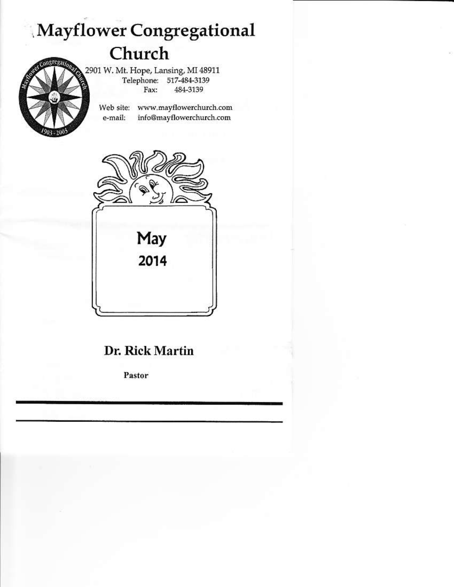# Mayflower Congregational Church

2901 W. Mt. Hope, Lansing, MI 48911 Telephone: 517-484-3139 484-3139 Fax:

Web site: www.mayflowerchurch.com e-mail: info@mayflowerchurch.com



### Dr. Rick Martin

Pastor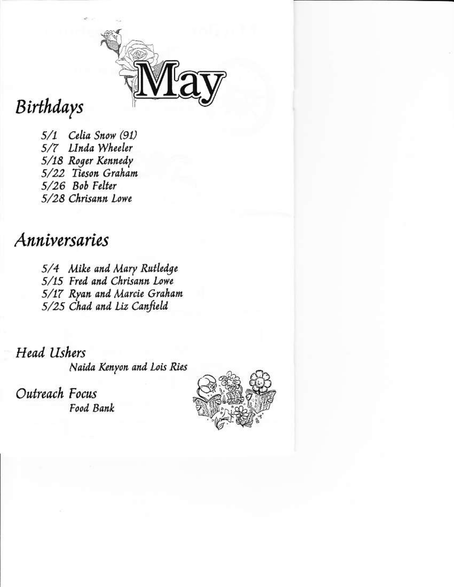

## Birthdays

5/1 Celia Snow (91) 5/7 LInda Wheeler 5/18 Roger Kennedy 5/22 Tieson Graham 5/26 Bob Felter 5/28 Chrisann Lowe

## Anniversaries

5/4 Mike and Mary Rutledge 5/15 Fred and Chrisann Lowe 5/17 Ryan and Marcie Graham 5/25 Chad and Liz Canfield

**Head Ushers** Naida Kenyon and Lois Ries

Outreach Focus Food Bank

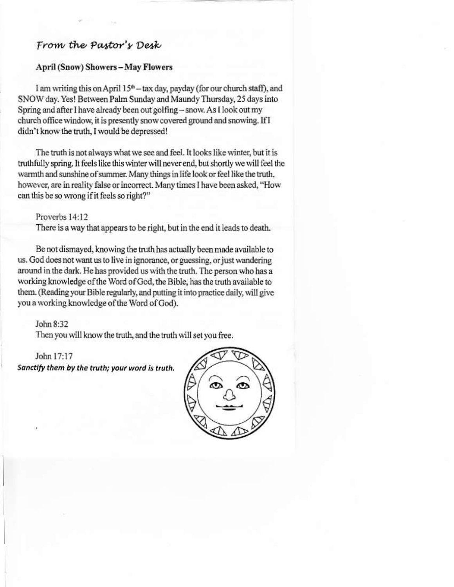### From the Pastor's Desk

#### **April (Snow) Showers-May Flowers**

I am writing this on April 15<sup>th</sup> – tax day, payday (for our church staff), and SNOW day. Yes! Between Palm Sunday and Maundy Thursday, 25 days into Spring and after I have already been out golfing - snow. As I look out my church office window, it is presently snow covered ground and snowing. If I didn't know the truth, I would be depressed!

The truth is not always what we see and feel. It looks like winter, but it is truthfully spring. It feels like this winter will never end, but shortly we will feel the warmth and sunshine of summer. Many things in life look or feel like the truth. however, are in reality false or incorrect. Many times I have been asked, "How can this be so wrong if it feels so right?"

Proverbs 14:12

There is a way that appears to be right, but in the end it leads to death.

Be not dismayed, knowing the truth has actually been made available to us. God does not want us to live in ignorance, or guessing, or just wandering around in the dark. He has provided us with the truth. The person who has a working knowledge of the Word of God, the Bible, has the truth available to them. (Reading your Bible regularly, and putting it into practice daily, will give you a working knowledge of the Word of God).

John 8:32

Then you will know the truth, and the truth will set you free.

John 17:17

Sanctify them by the truth; your word is truth.

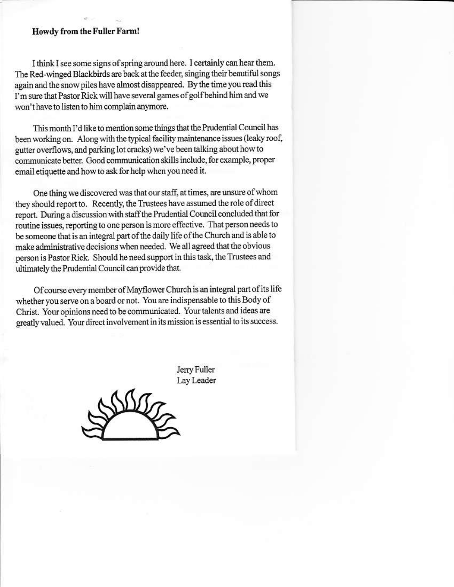#### Howdy from the Fuller Farm!

I think I see some signs of spring around here. I certainly can hear them. The Red-winged Blackbirds are back at the feeder, singing their beautiful songs again and the snow piles have almost disappeared. By the time you read this I'm sure that Pastor Rick will have several games of golf behind him and we won't have to listen to him complain anymore.

This month I'd like to mention some things that the Prudential Council has been working on. Along with the typical facility maintenance issues (leaky roof, gutter overflows, and parking lot cracks) we've been talking about how to communicate better. Good communication skills include, for example, proper email etiquette and how to ask for help when you need it.

One thing we discovered was that our staff, at times, are unsure of whom they should report to. Recently, the Trustees have assumed the role of direct report. During a discussion with staff the Prudential Council concluded that for routine issues, reporting to one person is more effective. That person needs to be someone that is an integral part of the daily life of the Church and is able to make administrative decisions when needed. We all agreed that the obvious person is Pastor Rick. Should he need support in this task, the Trustees and ultimately the Prudential Council can provide that.

Of course every member of Mayflower Church is an integral part of its life whether you serve on a board or not. You are indispensable to this Body of Christ. Your opinions need to be communicated. Your talents and ideas are greatly valued. Your direct involvement in its mission is essential to its success.

Jerry Fuller Lay Leader

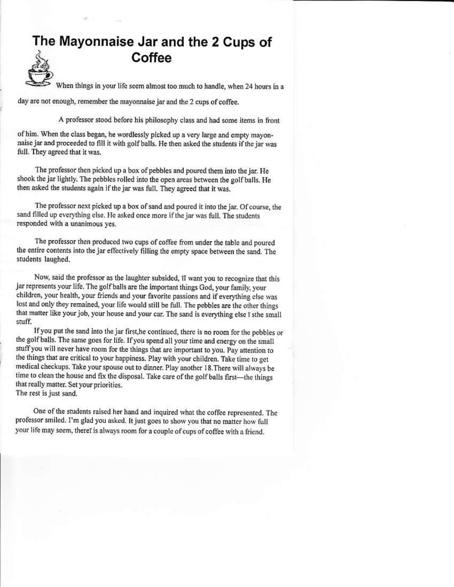## The Mayonnaise Jar and the 2 Cups of Coffee



When things in your life seem almost too much to handle, when 24 hours in a

day are not enough, remember the mayonnaise jar and the 2 cups of coffee.

A professor stood before his philosophy class and had some items in front

of him. When the class began, he wordlessly picked up a very large and empty mayonnaise jar and proceeded to fill it with golf balls. He then asked the students if the jar was full. They agreed that it was.

The professor then picked up a box of pebbles and poured them into the jar. He shook the jar lightly. The pebbles rolled into the open areas between the golf balls. He then asked the students again if the jar was full. They agreed that it was.

The professor next picked up a box of sand and poured it into the jar. Of course, the sand filled up everything else. He asked once more if the jar was full. The students responded with a unanimous ves.

The professor then produced two cups of coffee from under the table and poured the entire contents into the jar effectively filling the empty space between the sand. The students laughed.

Now, said the professor as the laughter subsided, if want you to recognize that this jar represents your life. The golf balls are the important things God, your family, your children, your health, your friends and your favorite passions and if everything clse was lost and only they remained, your life would still be full. The pebbles are the other things that matter like your job, your house and your car. The sand is everything else ï sthe small stuff.

If you put the sand into the jar first, he continued, there is no room for the pebbles or the golf balls. The same goes for life. If you spend all your time and energy on the small stuff you will never have room for the things that are important to you. Pay attention to the things that are critical to your happiness. Play with your children. Take time to get medical checkups. Take your spouse out to dinner. Play another 18. There will always be time to clean the house and fix the disposal. Take care of the golf balls first-the things that really matter. Set your priorities. The rest is just sand.

One of the students raised her hand and inquired what the coffee represented. The professor smiled. I'm glad you asked. It just goes to show you that no matter how full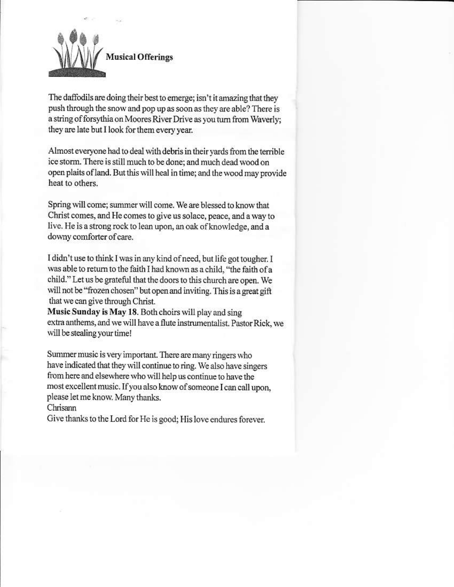

The daffodils are doing their best to emerge; isn't it amazing that they push through the snow and pop up as soon as they are able? There is a string of forsythia on Moores River Drive as you turn from Waverly; they are late but I look for them every year.

Almost everyone had to deal with debris in their yards from the terrible ice storm. There is still much to be done; and much dead wood on open plaits of land. But this will heal in time; and the wood may provide heat to others.

Spring will come; summer will come. We are blessed to know that Christ comes, and He comes to give us solace, peace, and a way to live. He is a strong rock to lean upon, an oak of knowledge, and a downy comforter of care.

I didn't use to think I was in any kind of need, but life got tougher. I was able to return to the faith I had known as a child, "the faith of a child." Let us be grateful that the doors to this church are open. We will not be "frozen chosen" but open and inviting. This is a great gift that we can give through Christ.

Music Sunday is May 18. Both choirs will play and sing extra anthems, and we will have a flute instrumentalist. Pastor Rick, we will be stealing your time!

Summer music is very important. There are many ringers who have indicated that they will continue to ring. We also have singers from here and elsewhere who will help us continue to have the most excellent music. If you also know of someone I can call upon, please let me know. Many thanks.

Chrisann

Give thanks to the Lord for He is good; His love endures forever.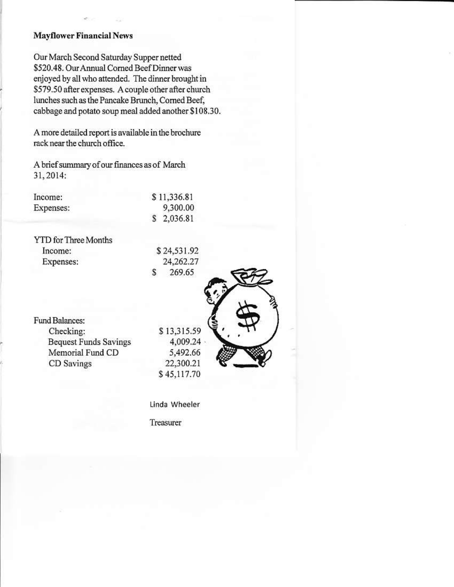#### **Mayflower Financial News**

Our March Second Saturday Supper netted \$520.48. Our Annual Corned Beef Dinner was enjoyed by all who attended. The dinner brought in \$579.50 after expenses. A couple other after church lunches such as the Pancake Brunch, Corned Beef, cabbage and potato soup meal added another \$108.30.

A more detailed report is available in the brochure rack near the church office.

A brief summary of our finances as of March 31, 2014:

| Income:   | \$11,336.81 |
|-----------|-------------|
| Expenses: | 9,300.00    |
|           | \$2,036.81  |

**YTD** for Three Months Income: Expenses:

\$24,531.92 24,262.27 269.65 \$

**Fund Balances:** Checking: **Bequest Funds Savings** Memorial Fund CD CD Savings

\$13,315.59 4,009.24 5,492.66 22,300.21 \$45,117.70



Linda Wheeler

Treasurer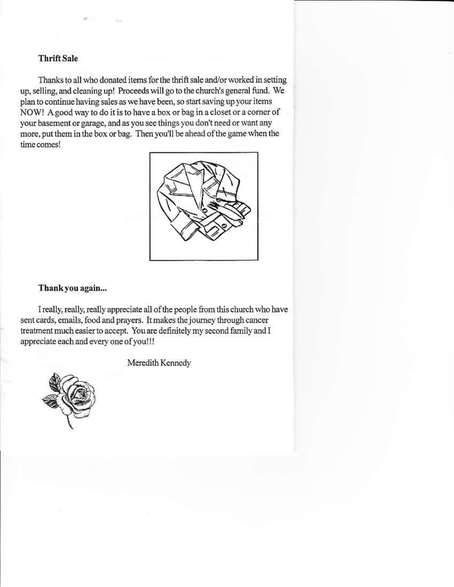#### **Thrift Sale**

Thanks to all who donated items for the thrift sale and/or worked in setting up, selling, and cleaning up! Proceeds will go to the church's general fund. We plan to continue having sales as we have been, so start saving up your items NOW! A good way to do it is to have a box or bag in a closet or a corner of your basement or garage, and as you see things you don't need or want any more, put them in the box or bag. Then you'll be ahead of the game when the time comes!



#### Thank you again...

I really, really, really appreciate all of the people from this church who have sent cards, emails, food and prayers. It makes the journey through cancer treatment much easier to accept. You are definitely my second family and I appreciate each and every one of you!!!

Meredith Kennedy

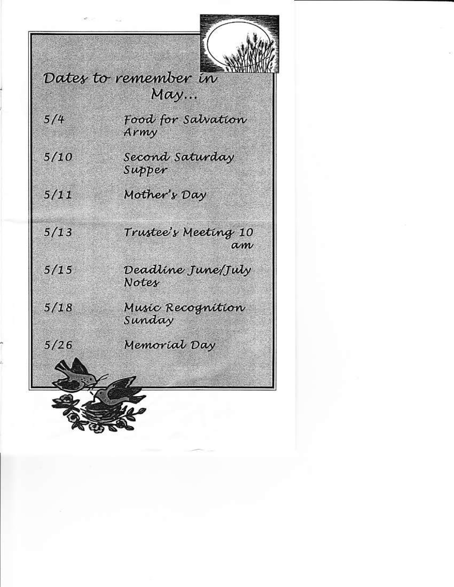

am

## Dates to remember in  $May...$

 $5/4$ 

Food for Salvation Army

 $5/10$ 

 $5/11$ 

Second Saturday

Supper Mother's Day

 $5/13$ 

 $5/15$ 

 $5/18$ 

Deadline June July Notes

Trustee's Meeting 10

Music Recognition Sunday

 $5/26$ 

Memorial Day